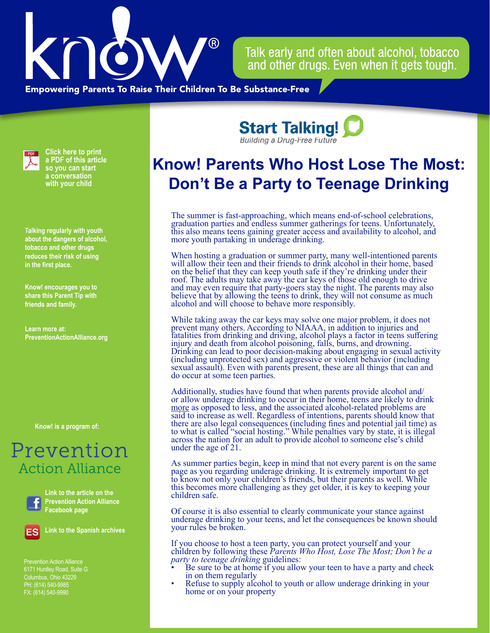

Talk early and often about alcohol, tobacco and other drugs. Even when it gets tough.

**Empowering Parents To Raise Their Children To Be Substance-Free** 



**Click here to print a PDF of this article so you can start a conversation with your child**

**Talking regularly with youth about the dangers of alcohol, tobacco and other drugs reduces their risk of using in the first place.**

**Know! encourages you to share this Parent Tip with friends and family.**

**Learn more at: PreventionActionAlliance[.org](https://www.drugfreeactionalliance.org/)**

**Know! is a program of:**

## Prevention Action Alliance



**Link to the article on the Prevention Action Alliance Facebook page**



**Link to the Spanish archives**

Prevention Action Alliance 6171 Huntley Road, Suite G Columbus, Ohio 43229 PH: (614) 540-9985 FX: (614) 540-9990

**Start Talking! Building a Drug-Free Future** 

## **Know! Parents Who Host Lose The Most: Don't Be a Party to Teenage Drinking**

The summer is fast-approaching, which means end-of-school celebrations, graduation parties and endless summer gatherings for teens. Unfortunately, this also means teens gaining greater access and availability to alcohol, and more youth partaking in underage drinking.

When hosting a graduation or summer party, many well-intentioned parents will allow their teen and their friends to drink alcohol in their home, based on the belief that they can keep youth safe if they're drinking under their roof. The adults may take away the car keys of those old enough to drive and may even require that party-goers stay the night. The parents may also believe that by allowing the teens to drink, they will not consume as much alcohol and will choose to behave more responsibly.

While taking away the car keys may solve one major problem, it does not prevent many others. According to NIAAA, in addition to injuries and fatalities from drinking and driving, alcohol plays a factor in teens suffering injury and death from alcohol poisoning, falls, burns, and drowning. Drinking can lead to poor decision-making about engaging in sexual activity (including unprotected sex) and aggressive or violent behavior (including sexual assault). Even with parents present, these are all things that can and do occur at some teen parties.

Additionally, studies have found that when parents provide alcohol and/ or allow underage drinking to occur in their home, teens are likely to drink more as opposed to less, and the associated alcohol-related problems are said to increase as well. Regardless of intentions, parents should know that there are also legal consequences (including fines and potential jail time) as to what is called "social hosting." While penalties vary by state, it is illegal across the nation for an adult to provide alcohol to someone else's child under the age of 21.

As summer parties begin, keep in mind that not every parent is on the same page as you regarding underage drinking. It is extremely important to get to know not only your children's friends, but their parents as well. While this becomes more challenging as they get older, it is key to keeping your children safe.

Of course it is also essential to clearly communicate your stance against underage drinking to your teens, and let the consequences be known should your rules be broken.

If you choose to host a teen party, you can protect yourself and your children by following these *Parents Who Host, Lose The Most; Don't be a* 

- *Party and check* in on them regularly guidelines if you allow your teen to have a party and check
- Refuse to supply alcohol to youth or allow underage drinking in your home or on your property